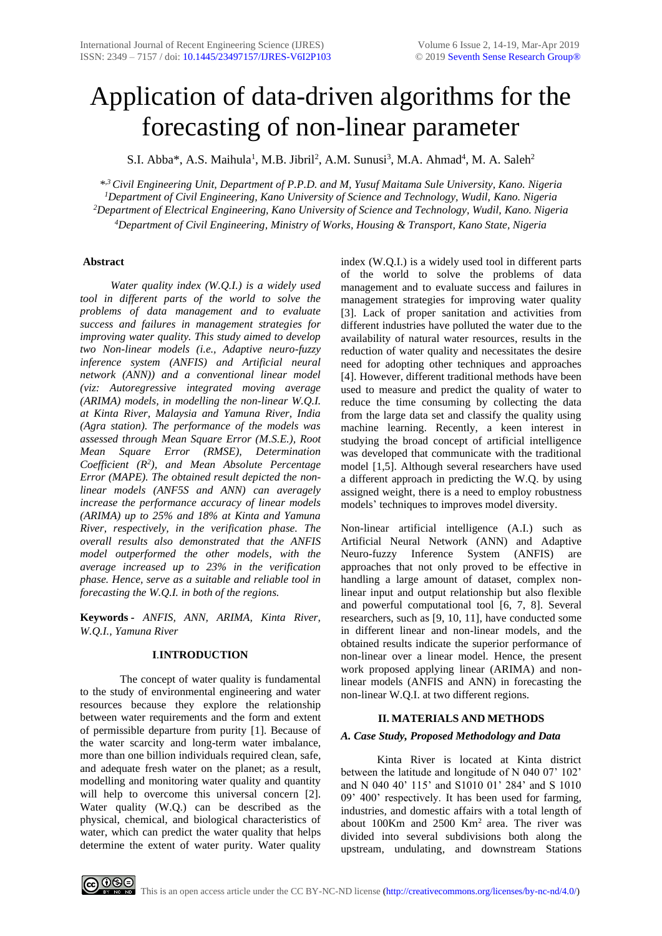# Application of data-driven algorithms for the forecasting of non-linear parameter

S.I. Abba\*, A.S. Maihula<sup>1</sup>, M.B. Jibril<sup>2</sup>, A.M. Sunusi<sup>3</sup>, M.A. Ahmad<sup>4</sup>, M. A. Saleh<sup>2</sup>

*\* ,3 Civil Engineering Unit, Department of P.P.D. and M, Yusuf Maitama Sule University, Kano. Nigeria Department of Civil Engineering, Kano University of Science and Technology, Wudil, Kano. Nigeria Department of Electrical Engineering, Kano University of Science and Technology, Wudil, Kano. Nigeria Department of Civil Engineering, Ministry of Works, Housing & Transport, Kano State, Nigeria*

# **Abstract**

 *Water quality index (W.Q.I.) is a widely used tool in different parts of the world to solve the problems of data management and to evaluate success and failures in management strategies for improving water quality. This study aimed to develop two Non-linear models (i.e., Adaptive neuro-fuzzy inference system (ANFIS) and Artificial neural network (ANN)) and a conventional linear model (viz: Autoregressive integrated moving average (ARIMA) models, in modelling the non-linear W.Q.I. at Kinta River, Malaysia and Yamuna River, India (Agra station). The performance of the models was assessed through Mean Square Error (M.S.E.), Root Mean Square Error (RMSE), Determination Coefficient (R<sup>2</sup> ), and Mean Absolute Percentage Error (MAPE). The obtained result depicted the nonlinear models (ANF5S and ANN) can averagely increase the performance accuracy of linear models (ARIMA) up to 25% and 18% at Kinta and Yamuna River, respectively, in the verification phase. The overall results also demonstrated that the ANFIS model outperformed the other models, with the average increased up to 23% in the verification phase. Hence, serve as a suitable and reliable tool in forecasting the W.Q.I. in both of the regions.*

**Keywords** *- ANFIS, ANN, ARIMA, Kinta River, W.Q.I., Yamuna River*

# **I**.**INTRODUCTION**

The concept of water quality is fundamental to the study of environmental engineering and water resources because they explore the relationship between water requirements and the form and extent of permissible departure from purity [1]. Because of the water scarcity and long-term water imbalance, more than one billion individuals required clean, safe, and adequate fresh water on the planet; as a result, modelling and monitoring water quality and quantity will help to overcome this universal concern [2]. Water quality (W.Q.) can be described as the physical, chemical, and biological characteristics of water, which can predict the water quality that helps determine the extent of water purity. Water quality index (W.Q.I.) is a widely used tool in different parts of the world to solve the problems of data management and to evaluate success and failures in management strategies for improving water quality [3]. Lack of proper sanitation and activities from different industries have polluted the water due to the availability of natural water resources, results in the reduction of water quality and necessitates the desire need for adopting other techniques and approaches [4]. However, different traditional methods have been used to measure and predict the quality of water to reduce the time consuming by collecting the data from the large data set and classify the quality using machine learning. Recently, a keen interest in studying the broad concept of artificial intelligence was developed that communicate with the traditional model [1,5]. Although several researchers have used a different approach in predicting the W.Q. by using assigned weight, there is a need to employ robustness models' techniques to improves model diversity.

Non-linear artificial intelligence (A.I.) such as Artificial Neural Network (ANN) and Adaptive Neuro-fuzzy Inference System (ANFIS) are approaches that not only proved to be effective in handling a large amount of dataset, complex nonlinear input and output relationship but also flexible and powerful computational tool [6, 7, 8]. Several researchers, such as [9, 10, 11], have conducted some in different linear and non-linear models, and the obtained results indicate the superior performance of non-linear over a linear model. Hence, the present work proposed applying linear (ARIMA) and nonlinear models (ANFIS and ANN) in forecasting the non-linear W.Q.I. at two different regions.

# **II. MATERIALS AND METHODS**

# *A. Case Study, Proposed Methodology and Data*

 Kinta River is located at Kinta district between the latitude and longitude of N 040 07' 102' and N 040 40' 115' and S1010 01' 284' and S 1010 09' 400' respectively. It has been used for farming, industries, and domestic affairs with a total length of about 100Km and 2500 Km<sup>2</sup> area. The river was divided into several subdivisions both along the upstream, undulating, and downstream Stations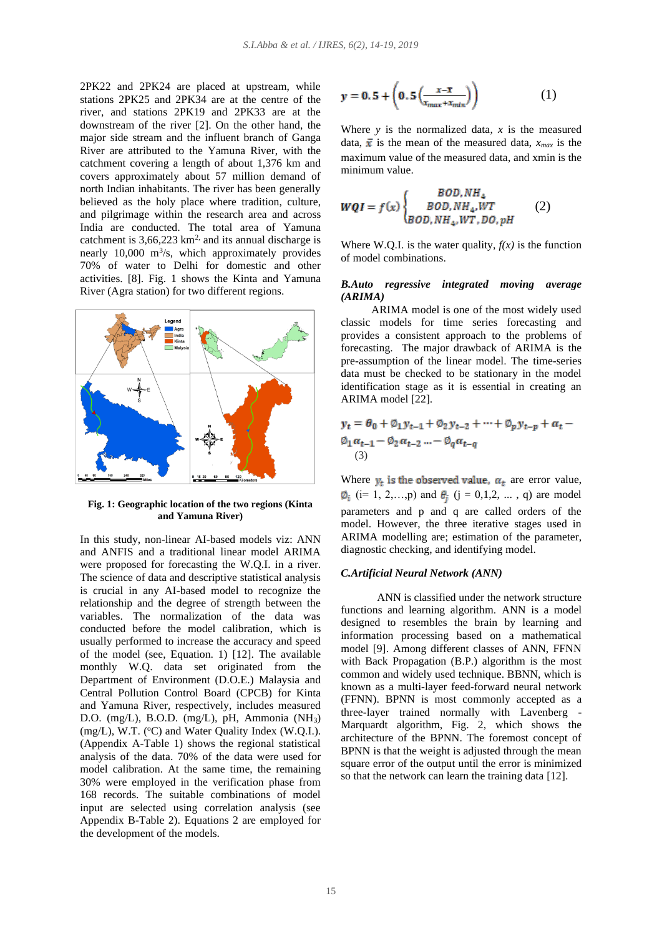2PK22 and 2PK24 are placed at upstream, while stations 2PK25 and 2PK34 are at the centre of the river, and stations 2PK19 and 2PK33 are at the downstream of the river [2]. On the other hand, the major side stream and the influent branch of Ganga River are attributed to the Yamuna River, with the catchment covering a length of about 1,376 km and covers approximately about 57 million demand of north Indian inhabitants. The river has been generally believed as the holy place where tradition, culture, and pilgrimage within the research area and across India are conducted. The total area of Yamuna catchment is  $3,66,223 \text{ km}^2$  and its annual discharge is nearly  $10,000 \text{ m}^3\text{/s}$ , which approximately provides 70% of water to Delhi for domestic and other activities. [8]. Fig. 1 shows the Kinta and Yamuna River (Agra station) for two different regions.



**Fig. 1: Geographic location of the two regions (Kinta and Yamuna River)**

In this study, non-linear AI-based models viz: ANN and ANFIS and a traditional linear model ARIMA were proposed for forecasting the W.Q.I. in a river. The science of data and descriptive statistical analysis is crucial in any AI-based model to recognize the relationship and the degree of strength between the variables. The normalization of the data was conducted before the model calibration, which is usually performed to increase the accuracy and speed of the model (see, Equation. 1) [12]. The available monthly W.Q. data set originated from the Department of Environment (D.O.E.) Malaysia and Central Pollution Control Board (CPCB) for Kinta and Yamuna River, respectively, includes measured D.O. (mg/L), B.O.D. (mg/L), pH, Ammonia (NH3)  $(mg/L)$ , W.T. (°C) and Water Quality Index (W.Q.I.). (Appendix A-Table 1) shows the regional statistical analysis of the data. 70% of the data were used for model calibration. At the same time, the remaining 30% were employed in the verification phase from 168 records. The suitable combinations of model input are selected using correlation analysis (see Appendix B-Table 2). Equations 2 are employed for the development of the models.

$$
y = 0.5 + \left(0.5\left(\frac{x-\overline{x}}{x_{max}+x_{min}}\right)\right) \tag{1}
$$

Where  $y$  is the normalized data,  $x$  is the measured data,  $\bar{x}$  is the mean of the measured data,  $x_{max}$  is the maximum value of the measured data, and xmin is the minimum value.

$$
WQI = f(x) \begin{cases} BOD, NH_4 \\ BOD, NH_4, WT \\ BOD, NH_4, WT, DO, pH \end{cases} (2)
$$

Where W.Q.I. is the water quality,  $f(x)$  is the function of model combinations.

## *B.Auto regressive integrated moving average (ARIMA)*

 ARIMA model is one of the most widely used classic models for time series forecasting and provides a consistent approach to the problems of forecasting. The major drawback of ARIMA is the pre-assumption of the linear model. The time-series data must be checked to be stationary in the model identification stage as it is essential in creating an ARIMA model [22].

$$
y_{t} = \theta_{0} + \emptyset_{1} y_{t-1} + \emptyset_{2} y_{t-2} + \dots + \emptyset_{p} y_{t-p} + \alpha_{t} - \emptyset_{1} \alpha_{t-1} - \emptyset_{2} \alpha_{t-2} \dots - \emptyset_{q} \alpha_{t-q}
$$
  
(3)

Where  $y_t$  is the observed value,  $\alpha_t$  are error value,  $\phi_i$  (i= 1, 2,…,p) and  $\theta_i$  (j = 0,1,2, ..., q) are model parameters and p and q are called orders of the model. However, the three iterative stages used in ARIMA modelling are; estimation of the parameter, diagnostic checking, and identifying model.

#### *C.Artificial Neural Network (ANN)*

 ANN is classified under the network structure functions and learning algorithm. ANN is a model designed to resembles the brain by learning and information processing based on a mathematical model [9]. Among different classes of ANN, FFNN with Back Propagation (B.P.) algorithm is the most common and widely used technique. BBNN, which is known as a multi-layer feed-forward neural network (FFNN). BPNN is most commonly accepted as a three-layer trained normally with Lavenberg - Marquardt algorithm, Fig. 2, which shows the architecture of the BPNN. The foremost concept of BPNN is that the weight is adjusted through the mean square error of the output until the error is minimized so that the network can learn the training data [12].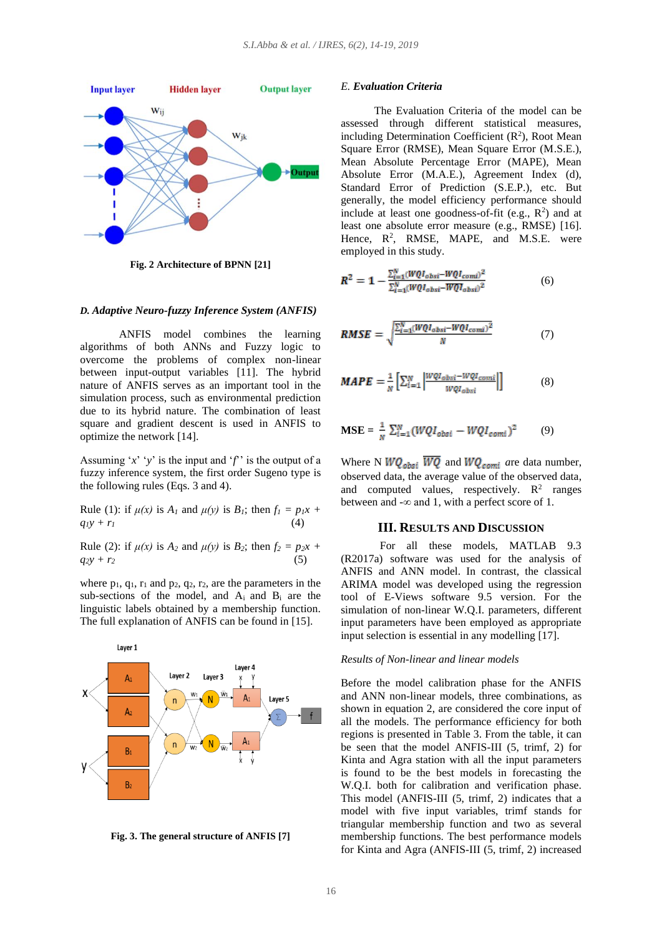

**Fig. 2 Architecture of BPNN [21]**

## *D. Adaptive Neuro-fuzzy Inference System (ANFIS)*

 ANFIS model combines the learning algorithms of both ANNs and Fuzzy logic to overcome the problems of complex non-linear between input-output variables [11]. The hybrid nature of ANFIS serves as an important tool in the simulation process, such as environmental prediction due to its hybrid nature. The combination of least square and gradient descent is used in ANFIS to optimize the network [14].

Assuming ' $x$ ' ' $y$ ' is the input and ' $f$ ' is the output of a fuzzy inference system, the first order Sugeno type is the following rules (Eqs. 3 and 4).

Rule (1): if  $\mu(x)$  is  $A_1$  and  $\mu(y)$  is  $B_1$ ; then  $f_1 = p_1x +$  $q_1 y + r_1$  (4)

Rule (2): if  $\mu(x)$  is  $A_2$  and  $\mu(y)$  is  $B_2$ ; then  $f_2 = p_2x + p_1$  $q_2y + r_2$ 

where  $p_1$ ,  $q_1$ ,  $r_1$  and  $p_2$ ,  $q_2$ ,  $r_2$ , are the parameters in the sub-sections of the model, and Ai and B<sup>i</sup> are the linguistic labels obtained by a membership function. The full explanation of ANFIS can be found in [15].



**Fig. 3. The general structure of ANFIS [7]**

## *E. Evaluation Criteria*

 The Evaluation Criteria of the model can be assessed through different statistical measures, including Determination Coefficient  $(R^2)$ , Root Mean Square Error (RMSE), Mean Square Error (M.S.E.), Mean Absolute Percentage Error (MAPE), Mean Absolute Error (M.A.E.), Agreement Index (d), Standard Error of Prediction (S.E.P.), etc. But generally, the model efficiency performance should include at least one goodness-of-fit (e.g.,  $R^2$ ) and at least one absolute error measure (e.g., RMSE) [16]. Hence,  $R^2$ , RMSE, MAPE, and M.S.E. were employed in this study.

$$
R^{2} = 1 - \frac{\sum_{l=1}^{N} (WQI_{obsi} - WQI_{coml})^{2}}{\sum_{l=1}^{N} (WQI_{obsi} - WQI_{obsi})^{2}}
$$
(6)

$$
RMSE = \sqrt{\frac{\sum_{i=1}^{N} (WQI_{obsi} - WQI_{coml})^2}{N}}
$$
(7)

$$
MAPE = \frac{1}{N} \left[ \sum_{i=1}^{N} \left| \frac{WQI_{obsi} - WQI_{comi}}{WQI_{obsi}} \right| \right] \tag{8}
$$

$$
\mathbf{MSE} = \frac{1}{N} \sum_{i=1}^{N} (WQI_{obsi} - WQI_{comi})^2 \tag{9}
$$

Where N  $WQ_{obsi}$   $\overline{WQ}$  and  $WQ_{comi}$  are data number, observed data, the average value of the observed data, and computed values, respectively.  $\mathbb{R}^2$  ranges between and  $-\infty$  and 1, with a perfect score of 1.

## **III. RESULTS AND DISCUSSION**

 For all these models, MATLAB 9.3 (R2017a) software was used for the analysis of ANFIS and ANN model. In contrast, the classical ARIMA model was developed using the regression tool of E-Views software 9.5 version. For the simulation of non-linear W.Q.I. parameters, different input parameters have been employed as appropriate input selection is essential in any modelling [17].

#### *Results of Non-linear and linear models*

Before the model calibration phase for the ANFIS and ANN non-linear models, three combinations, as shown in equation 2, are considered the core input of all the models. The performance efficiency for both regions is presented in Table 3. From the table, it can be seen that the model ANFIS-III (5, trimf, 2) for Kinta and Agra station with all the input parameters is found to be the best models in forecasting the W.Q.I. both for calibration and verification phase. This model (ANFIS-III (5, trimf, 2) indicates that a model with five input variables, trimf stands for triangular membership function and two as several membership functions. The best performance models for Kinta and Agra (ANFIS-III (5, trimf, 2) increased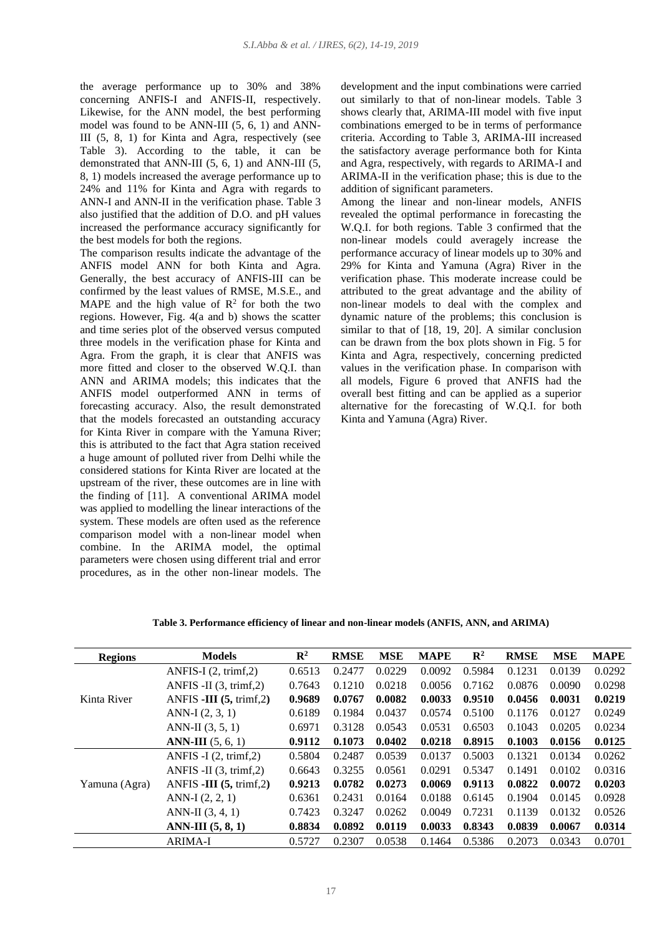the average performance up to 30% and 38% concerning ANFIS-I and ANFIS-II, respectively. Likewise, for the ANN model, the best performing model was found to be ANN-III (5, 6, 1) and ANN-III (5, 8, 1) for Kinta and Agra, respectively (see Table 3). According to the table, it can be demonstrated that ANN-III (5, 6, 1) and ANN-III (5, 8, 1) models increased the average performance up to 24% and 11% for Kinta and Agra with regards to ANN-I and ANN-II in the verification phase. Table 3 also justified that the addition of D.O. and pH values increased the performance accuracy significantly for the best models for both the regions.

The comparison results indicate the advantage of the ANFIS model ANN for both Kinta and Agra. Generally, the best accuracy of ANFIS-III can be confirmed by the least values of RMSE, M.S.E., and MAPE and the high value of  $\mathbb{R}^2$  for both the two regions. However, Fig. 4(a and b) shows the scatter and time series plot of the observed versus computed three models in the verification phase for Kinta and Agra. From the graph, it is clear that ANFIS was more fitted and closer to the observed W.Q.I. than ANN and ARIMA models; this indicates that the ANFIS model outperformed ANN in terms of forecasting accuracy. Also, the result demonstrated that the models forecasted an outstanding accuracy for Kinta River in compare with the Yamuna River; this is attributed to the fact that Agra station received a huge amount of polluted river from Delhi while the considered stations for Kinta River are located at the upstream of the river, these outcomes are in line with the finding of [11]. A conventional ARIMA model was applied to modelling the linear interactions of the system. These models are often used as the reference comparison model with a non-linear model when combine. In the ARIMA model, the optimal parameters were chosen using different trial and error procedures, as in the other non-linear models. The

development and the input combinations were carried out similarly to that of non-linear models. Table 3 shows clearly that, ARIMA-III model with five input combinations emerged to be in terms of performance criteria. According to Table 3, ARIMA-III increased the satisfactory average performance both for Kinta and Agra, respectively, with regards to ARIMA-I and ARIMA-II in the verification phase; this is due to the addition of significant parameters.

Among the linear and non-linear models, ANFIS revealed the optimal performance in forecasting the W.Q.I. for both regions. Table 3 confirmed that the non-linear models could averagely increase the performance accuracy of linear models up to 30% and 29% for Kinta and Yamuna (Agra) River in the verification phase. This moderate increase could be attributed to the great advantage and the ability of non-linear models to deal with the complex and dynamic nature of the problems; this conclusion is similar to that of [18, 19, 20]. A similar conclusion can be drawn from the box plots shown in Fig. 5 for Kinta and Agra, respectively, concerning predicted values in the verification phase. In comparison with all models, Figure 6 proved that ANFIS had the overall best fitting and can be applied as a superior alternative for the forecasting of W.Q.I. for both Kinta and Yamuna (Agra) River.

| <b>Regions</b> | <b>Models</b>                     | $\mathbb{R}^2$ | <b>RMSE</b> | <b>MSE</b> | <b>MAPE</b> | $\mathbf{R}^2$ | <b>RMSE</b> | <b>MSE</b> | <b>MAPE</b> |
|----------------|-----------------------------------|----------------|-------------|------------|-------------|----------------|-------------|------------|-------------|
| Kinta River    | ANFIS-I $(2, \text{trimf}, 2)$    | 0.6513         | 0.2477      | 0.0229     | 0.0092      | 0.5984         | 0.1231      | 0.0139     | 0.0292      |
|                | ANFIS -II $(3, \text{trimf}, 2)$  | 0.7643         | 0.1210      | 0.0218     | 0.0056      | 0.7162         | 0.0876      | 0.0090     | 0.0298      |
|                | ANFIS -III $(5, \text{trimf}, 2)$ | 0.9689         | 0.0767      | 0.0082     | 0.0033      | 0.9510         | 0.0456      | 0.0031     | 0.0219      |
|                | ANN-I $(2, 3, 1)$                 | 0.6189         | 0.1984      | 0.0437     | 0.0574      | 0.5100         | 0.1176      | 0.0127     | 0.0249      |
|                | ANN-II $(3, 5, 1)$                | 0.6971         | 0.3128      | 0.0543     | 0.0531      | 0.6503         | 0.1043      | 0.0205     | 0.0234      |
|                | <b>ANN-III</b> $(5, 6, 1)$        | 0.9112         | 0.1073      | 0.0402     | 0.0218      | 0.8915         | 0.1003      | 0.0156     | 0.0125      |
| Yamuna (Agra)  | ANFIS $-I(2, trimf,2)$            | 0.5804         | 0.2487      | 0.0539     | 0.0137      | 0.5003         | 0.1321      | 0.0134     | 0.0262      |
|                | ANFIS -II $(3, \text{trimf}, 2)$  | 0.6643         | 0.3255      | 0.0561     | 0.0291      | 0.5347         | 0.1491      | 0.0102     | 0.0316      |
|                | ANFIS -III $(5, \text{trimf}, 2)$ | 0.9213         | 0.0782      | 0.0273     | 0.0069      | 0.9113         | 0.0822      | 0.0072     | 0.0203      |
|                | ANN-I $(2, 2, 1)$                 | 0.6361         | 0.2431      | 0.0164     | 0.0188      | 0.6145         | 0.1904      | 0.0145     | 0.0928      |
|                | ANN-II $(3, 4, 1)$                | 0.7423         | 0.3247      | 0.0262     | 0.0049      | 0.7231         | 0.1139      | 0.0132     | 0.0526      |
|                | $ANN-III(5, 8, 1)$                | 0.8834         | 0.0892      | 0.0119     | 0.0033      | 0.8343         | 0.0839      | 0.0067     | 0.0314      |
|                | <b>ARIMA-I</b>                    | 0.5727         | 0.2307      | 0.0538     | 0.1464      | 0.5386         | 0.2073      | 0.0343     | 0.0701      |

**Table 3. Performance efficiency of linear and non-linear models (ANFIS, ANN, and ARIMA)**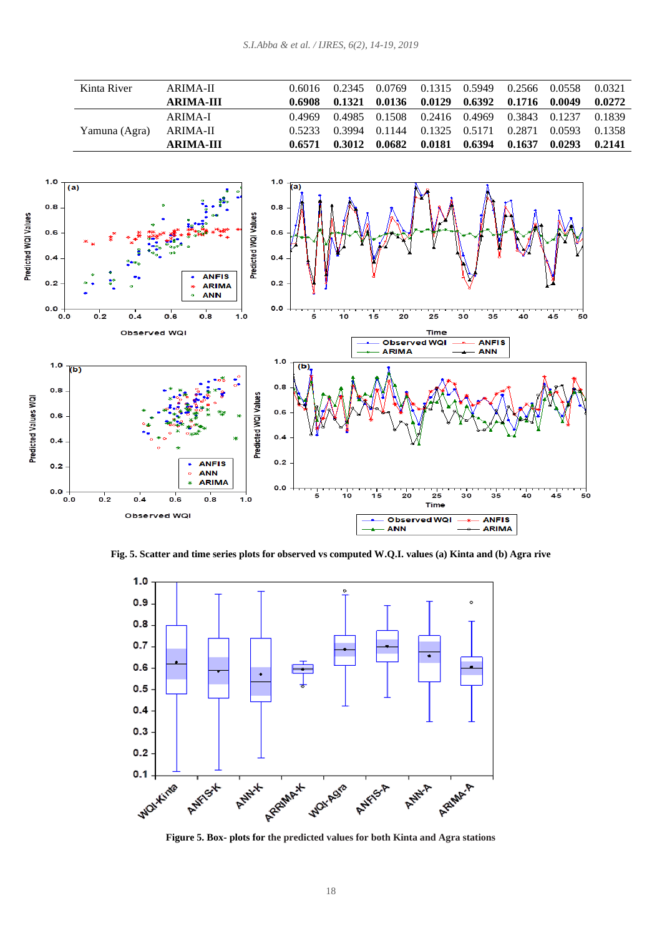| Kinta River   | ARIMA-II         | 0.6016 | 0.2345 | 0.0769 | 0.1315 0.5949 |        | 0.2566 | 0.0558 | 0.0321 |
|---------------|------------------|--------|--------|--------|---------------|--------|--------|--------|--------|
|               | <b>ARIMA-III</b> | 0.6908 | 0.1321 | 0.0136 | 0.0129        | 0.6392 | 0.1716 | 0.0049 | 0.0272 |
|               | ARIMA-I          | 0.4969 | 0.4985 | 0.1508 | 0.2416 0.4969 |        | 0.3843 | 0.1237 | 0.1839 |
| Yamuna (Agra) | ARIMA-II         | 0.5233 | 0.3994 | 0.1144 | 0.1325 0.5171 |        | 0.2871 | 0.0593 | 0.1358 |
|               | ARIMA-III        | 0.6571 | 0.3012 | 0.0682 | 0.0181        | 0.6394 | 0.1637 | 0.0293 | 0.2141 |



**Fig. 5. Scatter and time series plots for observed vs computed W.Q.I. values (a) Kinta and (b) Agra rive**



**Figure 5. Box- plots for the predicted values for both Kinta and Agra stations**